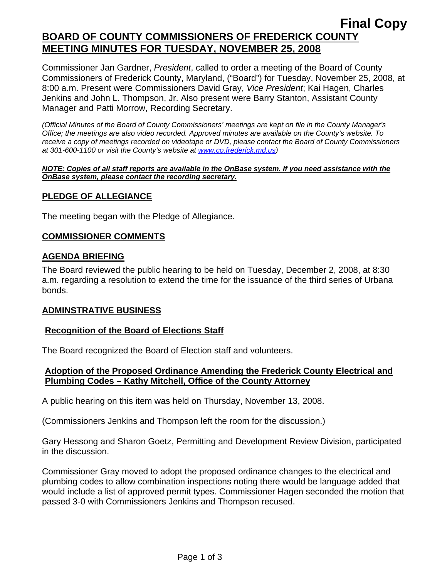# **Final Copy BOARD OF COUNTY COMMISSIONERS OF FREDERICK COUNTY MEETING MINUTES FOR TUESDAY, NOVEMBER 25, 2008**

Commissioner Jan Gardner, *President*, called to order a meeting of the Board of County Commissioners of Frederick County, Maryland, ("Board") for Tuesday, November 25, 2008, at 8:00 a.m. Present were Commissioners David Gray, *Vice President*; Kai Hagen, Charles Jenkins and John L. Thompson, Jr. Also present were Barry Stanton, Assistant County Manager and Patti Morrow, Recording Secretary.

*(Official Minutes of the Board of County Commissioners' meetings are kept on file in the County Manager's Office; the meetings are also video recorded. Approved minutes are available on the County's website. To receive a copy of meetings recorded on videotape or DVD, please contact the Board of County Commissioners at 301-600-1100 or visit the County's website at [www.co.frederick.md.us\)](http://www.co.frederick.md.us/)* 

#### *NOTE: Copies of all staff reports are available in the OnBase system. If you need assistance with the OnBase system, please contact the recording secretary.*

# **PLEDGE OF ALLEGIANCE**

The meeting began with the Pledge of Allegiance.

# **COMMISSIONER COMMENTS**

### **AGENDA BRIEFING**

The Board reviewed the public hearing to be held on Tuesday, December 2, 2008, at 8:30 a.m. regarding a resolution to extend the time for the issuance of the third series of Urbana bonds.

#### **ADMINSTRATIVE BUSINESS**

# **Recognition of the Board of Elections Staff**

The Board recognized the Board of Election staff and volunteers.

# **Adoption of the Proposed Ordinance Amending the Frederick County Electrical and Plumbing Codes – Kathy Mitchell, Office of the County Attorney**

A public hearing on this item was held on Thursday, November 13, 2008.

(Commissioners Jenkins and Thompson left the room for the discussion.)

Gary Hessong and Sharon Goetz, Permitting and Development Review Division, participated in the discussion.

Commissioner Gray moved to adopt the proposed ordinance changes to the electrical and plumbing codes to allow combination inspections noting there would be language added that would include a list of approved permit types. Commissioner Hagen seconded the motion that passed 3-0 with Commissioners Jenkins and Thompson recused.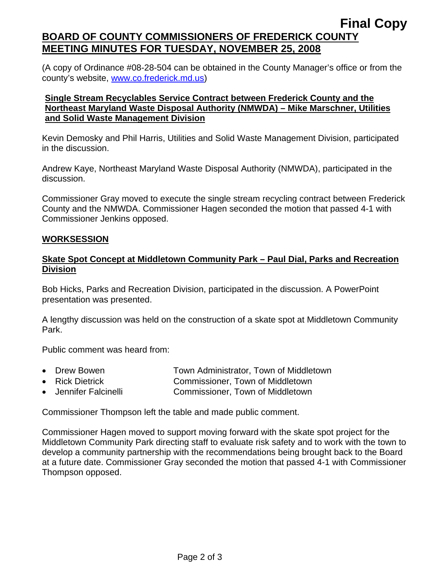# **Final Copy BOARD OF COUNTY COMMISSIONERS OF FREDERICK COUNTY MEETING MINUTES FOR TUESDAY, NOVEMBER 25, 2008**

(A copy of Ordinance #08-28-504 can be obtained in the County Manager's office or from the county's website, www.co.frederick.md.us)

### **Single Stream Recyclables Service Contract between Frederick County and the Northeast Maryland Waste Disposal Authority (NMWDA) – Mike Marschner, Utilities and Solid Waste Management Division**

Kevin Demosky and Phil Harris, Utilities and Solid Waste Management Division, participated in the discussion.

Andrew Kaye, Northeast Maryland Waste Disposal Authority (NMWDA), participated in the discussion.

Commissioner Gray moved to execute the single stream recycling contract between Frederick County and the NMWDA. Commissioner Hagen seconded the motion that passed 4-1 with Commissioner Jenkins opposed.

# **WORKSESSION**

# **Skate Spot Concept at Middletown Community Park – Paul Dial, Parks and Recreation Division**

Bob Hicks, Parks and Recreation Division, participated in the discussion. A PowerPoint presentation was presented.

A lengthy discussion was held on the construction of a skate spot at Middletown Community Park.

Public comment was heard from:

- Drew Bowen **Town Administrator**, Town of Middletown
- Rick Dietrick **Commissioner**, Town of Middletown
- Jennifer Falcinelli Commissioner, Town of Middletown

Commissioner Thompson left the table and made public comment.

Commissioner Hagen moved to support moving forward with the skate spot project for the Middletown Community Park directing staff to evaluate risk safety and to work with the town to develop a community partnership with the recommendations being brought back to the Board at a future date. Commissioner Gray seconded the motion that passed 4-1 with Commissioner Thompson opposed.